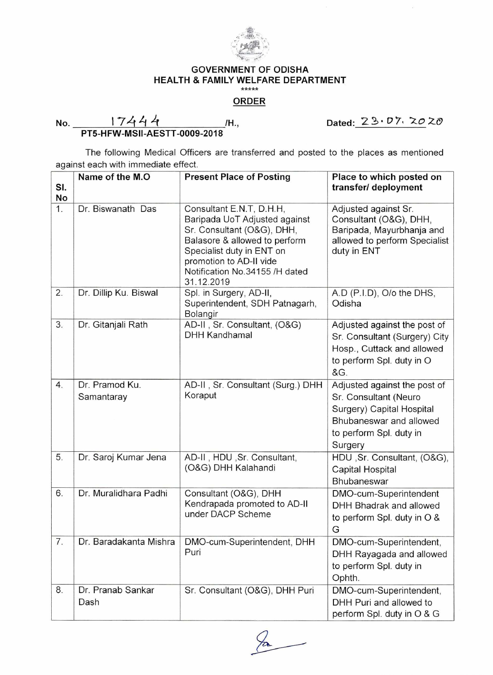

## GOVERNMENT OF ODISHA HEALTH & FAMILY WELFARE DEPARTMENT

## ORDER

No. 172t /H **•,** Dated:2 3 • b 7. 20 Z-0

**PT5-HFW-MSII-AESTT-0009-2018** 

The following Medical Officers are transferred and posted to the places as mentioned against each with immediate effect.

| SI. | Name of the M.O              | <b>Present Place of Posting</b>                                                                                                                                                                                                  | Place to which posted on<br>transfer/ deployment                                                                                                    |
|-----|------------------------------|----------------------------------------------------------------------------------------------------------------------------------------------------------------------------------------------------------------------------------|-----------------------------------------------------------------------------------------------------------------------------------------------------|
| No  |                              |                                                                                                                                                                                                                                  |                                                                                                                                                     |
| 1.  | Dr. Biswanath Das            | Consultant E.N.T, D.H.H,<br>Baripada UoT Adjusted against<br>Sr. Consultant (O&G), DHH,<br>Balasore & allowed to perform<br>Specialist duty in ENT on<br>promotion to AD-II vide<br>Notification No.34155 /H dated<br>31.12.2019 | Adjusted against Sr.<br>Consultant (O&G), DHH,<br>Baripada, Mayurbhanja and<br>allowed to perform Specialist<br>duty in ENT                         |
| 2.  | Dr. Dillip Ku. Biswal        | Spl. in Surgery, AD-II,<br>Superintendent, SDH Patnagarh,<br>Bolangir                                                                                                                                                            | A.D (P.I.D), O/o the DHS,<br>Odisha                                                                                                                 |
| 3.  | Dr. Gitanjali Rath           | AD-II, Sr. Consultant, (O&G)<br><b>DHH Kandhamal</b>                                                                                                                                                                             | Adjusted against the post of<br>Sr. Consultant (Surgery) City<br>Hosp., Cuttack and allowed<br>to perform Spl. duty in O<br>&G.                     |
| 4.  | Dr. Pramod Ku.<br>Samantaray | AD-II, Sr. Consultant (Surg.) DHH<br>Koraput                                                                                                                                                                                     | Adjusted against the post of<br>Sr. Consultant (Neuro<br>Surgery) Capital Hospital<br>Bhubaneswar and allowed<br>to perform Spl. duty in<br>Surgery |
| 5.  | Dr. Saroj Kumar Jena         | AD-II, HDU, Sr. Consultant,<br>(O&G) DHH Kalahandi                                                                                                                                                                               | HDU, Sr. Consultant, (O&G),<br><b>Capital Hospital</b><br>Bhubaneswar                                                                               |
| 6.  | Dr. Muralidhara Padhi        | Consultant (O&G), DHH<br>Kendrapada promoted to AD-II<br>under DACP Scheme                                                                                                                                                       | DMO-cum-Superintendent<br>DHH Bhadrak and allowed<br>to perform Spl. duty in O &<br>G                                                               |
| 7.  |                              | Dr. Baradakanta Mishra   DMO-cum-Superintendent, DHH<br>Puri                                                                                                                                                                     | DMO-cum-Superintendent,<br>DHH Rayagada and allowed<br>to perform Spl. duty in<br>Ophth.                                                            |
| 8.  | Dr. Pranab Sankar<br>Dash    | Sr. Consultant (O&G), DHH Puri                                                                                                                                                                                                   | DMO-cum-Superintendent,<br>DHH Puri and allowed to<br>perform Spl. duty in O & G                                                                    |

 $\mathcal{P}_{\mathbf{a}}$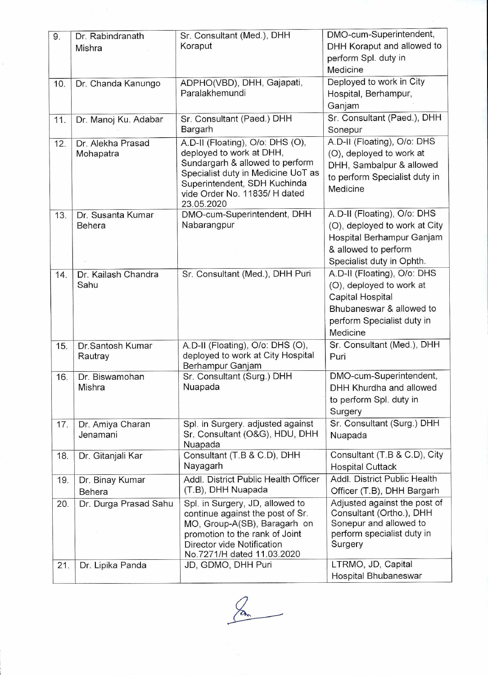| 9.  | Dr. Rabindranath             | Sr. Consultant (Med.), DHH                                     | DMO-cum-Superintendent,                                      |
|-----|------------------------------|----------------------------------------------------------------|--------------------------------------------------------------|
|     | Mishra                       | Koraput                                                        | DHH Koraput and allowed to                                   |
|     |                              |                                                                | perform Spl. duty in                                         |
|     |                              |                                                                | Medicine                                                     |
| 10. | Dr. Chanda Kanungo           | ADPHO(VBD), DHH, Gajapati,                                     | Deployed to work in City                                     |
|     |                              | Paralakhemundi                                                 | Hospital, Berhampur,                                         |
|     |                              |                                                                | Ganjam                                                       |
| 11. | Dr. Manoj Ku. Adabar         | Sr. Consultant (Paed.) DHH                                     | Sr. Consultant (Paed.), DHH                                  |
|     |                              | Bargarh                                                        | Sonepur                                                      |
| 12. | Dr. Alekha Prasad            | A.D-II (Floating), O/o: DHS (O),<br>deployed to work at DHH,   | A.D-II (Floating), O/o: DHS                                  |
|     | Mohapatra                    | Sundargarh & allowed to perform                                | (O), deployed to work at                                     |
|     |                              | Specialist duty in Medicine UoT as                             | DHH, Sambalpur & allowed<br>to perform Specialist duty in    |
|     |                              | Superintendent, SDH Kuchinda                                   | Medicine                                                     |
|     |                              | vide Order No. 11835/ H dated                                  |                                                              |
|     |                              | 23.05.2020                                                     |                                                              |
| 13. | Dr. Susanta Kumar<br>Behera  | DMO-cum-Superintendent, DHH<br>Nabarangpur                     | A.D-II (Floating), O/o: DHS<br>(O), deployed to work at City |
|     |                              |                                                                | Hospital Berhampur Ganjam                                    |
|     |                              |                                                                | & allowed to perform                                         |
|     |                              |                                                                | Specialist duty in Ophth.                                    |
| 14. | Dr. Kailash Chandra          | Sr. Consultant (Med.), DHH Puri                                | A.D-II (Floating), O/o: DHS                                  |
|     | Sahu                         |                                                                | (O), deployed to work at                                     |
|     |                              |                                                                | Capital Hospital                                             |
|     |                              |                                                                | Bhubaneswar & allowed to                                     |
|     |                              |                                                                | perform Specialist duty in                                   |
|     |                              |                                                                | Medicine                                                     |
| 15. | Dr.Santosh Kumar             | A.D-II (Floating), O/o: DHS (O),                               | Sr. Consultant (Med.), DHH                                   |
|     | Rautray                      | deployed to work at City Hospital                              | Puri                                                         |
|     |                              | Berhampur Ganjam                                               |                                                              |
| 16. | Dr. Biswamohan               | Sr. Consultant (Surg.) DHH                                     | DMO-cum-Superintendent,                                      |
|     | Mishra                       | Nuapada                                                        | DHH Khurdha and allowed                                      |
|     |                              |                                                                | to perform Spl. duty in                                      |
|     |                              | Spl. in Surgery. adjusted against                              | Surgery<br>Sr. Consultant (Surg.) DHH                        |
| 17. | Dr. Amiya Charan<br>Jenamani | Sr. Consultant (O&G), HDU, DHH                                 | Nuapada                                                      |
|     |                              | Nuapada                                                        |                                                              |
| 18. | Dr. Gitanjali Kar            | Consultant (T.B & C.D), DHH                                    | Consultant (T.B & C.D), City                                 |
|     |                              | Nayagarh                                                       | <b>Hospital Cuttack</b>                                      |
| 19. | Dr. Binay Kumar              | Addl. District Public Health Officer                           | Addl. District Public Health                                 |
|     | Behera                       | (T.B), DHH Nuapada                                             | Officer (T.B), DHH Bargarh                                   |
| 20. | Dr. Durga Prasad Sahu        | Spl. in Surgery, JD, allowed to                                | Adjusted against the post of                                 |
|     |                              | continue against the post of Sr.                               | Consultant (Ortho.), DHH                                     |
|     |                              | MO, Group-A(SB), Baragarh on<br>promotion to the rank of Joint | Sonepur and allowed to<br>perform specialist duty in         |
|     |                              | Director vide Notification                                     | Surgery                                                      |
|     |                              | No.7271/H dated 11.03.2020                                     |                                                              |
| 21. | Dr. Lipika Panda             | JD, GDMO, DHH Puri                                             | LTRMO, JD, Capital                                           |
|     |                              |                                                                | Hospital Bhubaneswar                                         |

 $\frac{2}{2}$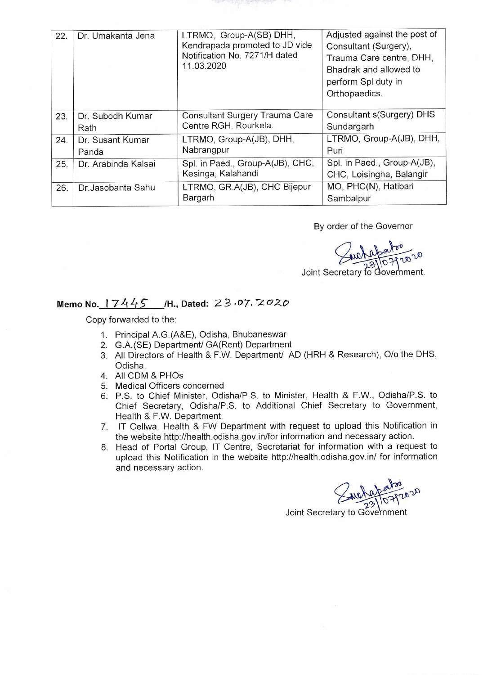| 22. | Dr. Umakanta Jena         | LTRMO, Group-A(SB) DHH,<br>Kendrapada promoted to JD vide<br>Notification No. 7271/H dated<br>11.03.2020 | Adjusted against the post of<br>Consultant (Surgery),<br>Trauma Care centre, DHH,<br>Bhadrak and allowed to<br>perform Spl duty in<br>Orthopaedics. |
|-----|---------------------------|----------------------------------------------------------------------------------------------------------|-----------------------------------------------------------------------------------------------------------------------------------------------------|
| 23. | Dr. Subodh Kumar<br>Rath  | Consultant Surgery Trauma Care<br>Centre RGH. Rourkela.                                                  | Consultant s(Surgery) DHS<br>Sundargarh                                                                                                             |
| 24. | Dr. Susant Kumar<br>Panda | LTRMO, Group-A(JB), DHH,<br>Nabrangpur                                                                   | LTRMO, Group-A(JB), DHH,<br>Puri                                                                                                                    |
| 25. | Dr. Arabinda Kalsai       | Spl. in Paed., Group-A(JB), CHC,<br>Kesinga, Kalahandi                                                   | Spl. in Paed., Group-A(JB),<br>CHC, Loisingha, Balangir                                                                                             |
| 26. | Dr. Jasobanta Sahu        | LTRMO, GR.A(JB), CHC Bijepur<br>Bargarh                                                                  | MO, PHC(N), Hatibari<br>Sambalpur                                                                                                                   |

By order of the Governor

 $10^{20}$ 

Joint Secretary to Goverhment.

## **Memo No.** 17445 /H., Dated: 23.07. 2020

Copy forwarded to the:

- 1. Principal A.G.(A&E), Odisha, Bhubaneswar
- 2. G.A.(SE) Department/ GA(Rent) Department
- 3. All Directors of Health & F.W. Department/ AD (HRH & Research), 0/o the DHS, Odisha.
- 4. All CDM & PHOs
- 5. Medical Officers concerned
- 6. P.S. to Chief Minister, Odisha/P.S. to Minister, Health & F.W., Odisha/P.S. to Chief Secretary, Odisha/P.S. to Additional Chief Secretary to Government, Health & F.W. Department.
- 7. IT Cellwa, Health & FW Department with request to upload this Notification in the website http://health.odisha.gov.in/for information and necessary action.
- 8. Head of Portal Group, IT Centre, Secretariat for information with a request to upload this Notification in the website http://health.odisha.gov.in/ for information and necessary action.

Joint Secretary to Government